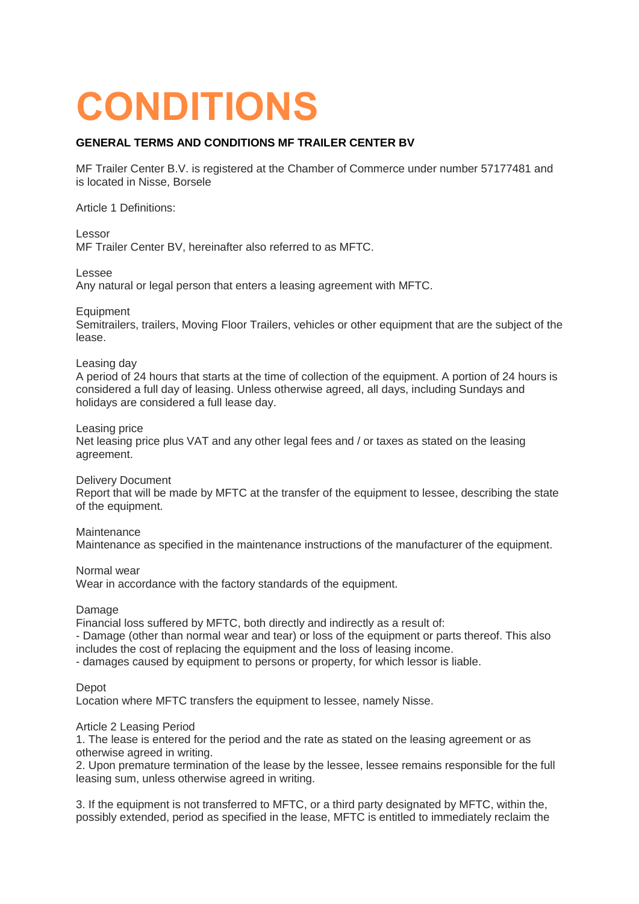# **CONDITIONS**

## **GENERAL TERMS AND CONDITIONS MF TRAILER CENTER BV**

MF Trailer Center B.V. is registered at the Chamber of Commerce under number 57177481 and is located in Nisse, Borsele

Article 1 Definitions:

Lessor MF Trailer Center BV, hereinafter also referred to as MFTC.

Lessee

Any natural or legal person that enters a leasing agreement with MFTC.

**Equipment** 

Semitrailers, trailers, Moving Floor Trailers, vehicles or other equipment that are the subject of the lease.

#### Leasing day

A period of 24 hours that starts at the time of collection of the equipment. A portion of 24 hours is considered a full day of leasing. Unless otherwise agreed, all days, including Sundays and holidays are considered a full lease day.

#### Leasing price

Net leasing price plus VAT and any other legal fees and / or taxes as stated on the leasing agreement.

Delivery Document

Report that will be made by MFTC at the transfer of the equipment to lessee, describing the state of the equipment.

#### **Maintenance**

Maintenance as specified in the maintenance instructions of the manufacturer of the equipment.

Normal wear

Wear in accordance with the factory standards of the equipment.

### Damage

Financial loss suffered by MFTC, both directly and indirectly as a result of:

- Damage (other than normal wear and tear) or loss of the equipment or parts thereof. This also includes the cost of replacing the equipment and the loss of leasing income.

- damages caused by equipment to persons or property, for which lessor is liable.

Depot

Location where MFTC transfers the equipment to lessee, namely Nisse.

## Article 2 Leasing Period

1. The lease is entered for the period and the rate as stated on the leasing agreement or as otherwise agreed in writing.

2. Upon premature termination of the lease by the lessee, lessee remains responsible for the full leasing sum, unless otherwise agreed in writing.

3. If the equipment is not transferred to MFTC, or a third party designated by MFTC, within the, possibly extended, period as specified in the lease, MFTC is entitled to immediately reclaim the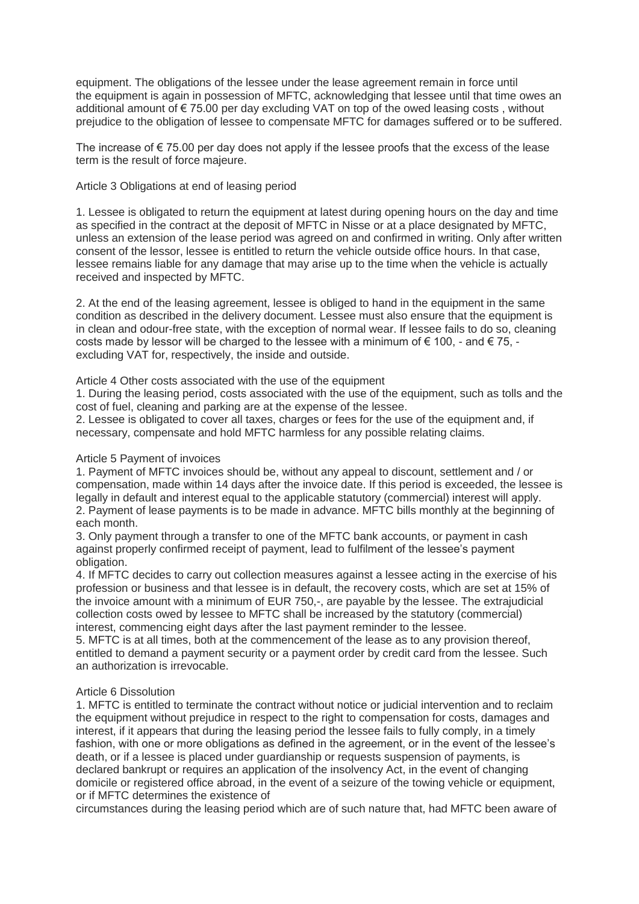equipment. The obligations of the lessee under the lease agreement remain in force until the equipment is again in possession of MFTC, acknowledging that lessee until that time owes an additional amount of  $\epsilon$  75.00 per day excluding VAT on top of the owed leasing costs, without prejudice to the obligation of lessee to compensate MFTC for damages suffered or to be suffered.

The increase of  $\epsilon$  75.00 per day does not apply if the lessee proofs that the excess of the lease term is the result of force majeure.

## Article 3 Obligations at end of leasing period

1. Lessee is obligated to return the equipment at latest during opening hours on the day and time as specified in the contract at the deposit of MFTC in Nisse or at a place designated by MFTC, unless an extension of the lease period was agreed on and confirmed in writing. Only after written consent of the lessor, lessee is entitled to return the vehicle outside office hours. In that case, lessee remains liable for any damage that may arise up to the time when the vehicle is actually received and inspected by MFTC.

2. At the end of the leasing agreement, lessee is obliged to hand in the equipment in the same condition as described in the delivery document. Lessee must also ensure that the equipment is in clean and odour-free state, with the exception of normal wear. If lessee fails to do so, cleaning costs made by lessor will be charged to the lessee with a minimum of  $\epsilon$  100, - and  $\epsilon$  75, excluding VAT for, respectively, the inside and outside.

Article 4 Other costs associated with the use of the equipment

1. During the leasing period, costs associated with the use of the equipment, such as tolls and the cost of fuel, cleaning and parking are at the expense of the lessee.

2. Lessee is obligated to cover all taxes, charges or fees for the use of the equipment and, if necessary, compensate and hold MFTC harmless for any possible relating claims.

## Article 5 Payment of invoices

1. Payment of MFTC invoices should be, without any appeal to discount, settlement and / or compensation, made within 14 days after the invoice date. If this period is exceeded, the lessee is legally in default and interest equal to the applicable statutory (commercial) interest will apply. 2. Payment of lease payments is to be made in advance. MFTC bills monthly at the beginning of each month.

3. Only payment through a transfer to one of the MFTC bank accounts, or payment in cash against properly confirmed receipt of payment, lead to fulfilment of the lessee's payment obligation.

4. If MFTC decides to carry out collection measures against a lessee acting in the exercise of his profession or business and that lessee is in default, the recovery costs, which are set at 15% of the invoice amount with a minimum of EUR 750,-, are payable by the lessee. The extrajudicial collection costs owed by lessee to MFTC shall be increased by the statutory (commercial) interest, commencing eight days after the last payment reminder to the lessee.

5. MFTC is at all times, both at the commencement of the lease as to any provision thereof, entitled to demand a payment security or a payment order by credit card from the lessee. Such an authorization is irrevocable.

## Article 6 Dissolution

1. MFTC is entitled to terminate the contract without notice or judicial intervention and to reclaim the equipment without prejudice in respect to the right to compensation for costs, damages and interest, if it appears that during the leasing period the lessee fails to fully comply, in a timely fashion, with one or more obligations as defined in the agreement, or in the event of the lessee's death, or if a lessee is placed under guardianship or requests suspension of payments, is declared bankrupt or requires an application of the insolvency Act, in the event of changing domicile or registered office abroad, in the event of a seizure of the towing vehicle or equipment, or if MFTC determines the existence of

circumstances during the leasing period which are of such nature that, had MFTC been aware of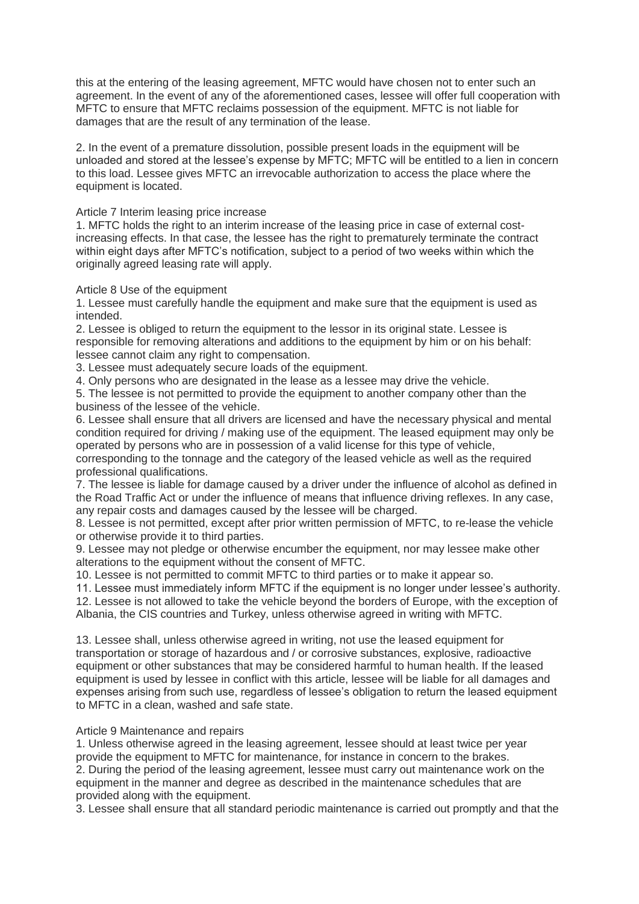this at the entering of the leasing agreement, MFTC would have chosen not to enter such an agreement. In the event of any of the aforementioned cases, lessee will offer full cooperation with MFTC to ensure that MFTC reclaims possession of the equipment. MFTC is not liable for damages that are the result of any termination of the lease.

2. In the event of a premature dissolution, possible present loads in the equipment will be unloaded and stored at the lessee's expense by MFTC; MFTC will be entitled to a lien in concern to this load. Lessee gives MFTC an irrevocable authorization to access the place where the equipment is located.

Article 7 Interim leasing price increase

1. MFTC holds the right to an interim increase of the leasing price in case of external costincreasing effects. In that case, the lessee has the right to prematurely terminate the contract within eight days after MFTC's notification, subject to a period of two weeks within which the originally agreed leasing rate will apply.

Article 8 Use of the equipment

1. Lessee must carefully handle the equipment and make sure that the equipment is used as intended.

2. Lessee is obliged to return the equipment to the lessor in its original state. Lessee is responsible for removing alterations and additions to the equipment by him or on his behalf: lessee cannot claim any right to compensation.

3. Lessee must adequately secure loads of the equipment.

4. Only persons who are designated in the lease as a lessee may drive the vehicle.

5. The lessee is not permitted to provide the equipment to another company other than the business of the lessee of the vehicle.

6. Lessee shall ensure that all drivers are licensed and have the necessary physical and mental condition required for driving / making use of the equipment. The leased equipment may only be operated by persons who are in possession of a valid license for this type of vehicle, corresponding to the tonnage and the category of the leased vehicle as well as the required

professional qualifications.

7. The lessee is liable for damage caused by a driver under the influence of alcohol as defined in the Road Traffic Act or under the influence of means that influence driving reflexes. In any case, any repair costs and damages caused by the lessee will be charged.

8. Lessee is not permitted, except after prior written permission of MFTC, to re-lease the vehicle or otherwise provide it to third parties.

9. Lessee may not pledge or otherwise encumber the equipment, nor may lessee make other alterations to the equipment without the consent of MFTC.

10. Lessee is not permitted to commit MFTC to third parties or to make it appear so.

11. Lessee must immediately inform MFTC if the equipment is no longer under lessee's authority.

12. Lessee is not allowed to take the vehicle beyond the borders of Europe, with the exception of Albania, the CIS countries and Turkey, unless otherwise agreed in writing with MFTC.

13. Lessee shall, unless otherwise agreed in writing, not use the leased equipment for transportation or storage of hazardous and / or corrosive substances, explosive, radioactive equipment or other substances that may be considered harmful to human health. If the leased equipment is used by lessee in conflict with this article, lessee will be liable for all damages and expenses arising from such use, regardless of lessee's obligation to return the leased equipment to MFTC in a clean, washed and safe state.

## Article 9 Maintenance and repairs

1. Unless otherwise agreed in the leasing agreement, lessee should at least twice per year provide the equipment to MFTC for maintenance, for instance in concern to the brakes. 2. During the period of the leasing agreement, lessee must carry out maintenance work on the equipment in the manner and degree as described in the maintenance schedules that are provided along with the equipment.

3. Lessee shall ensure that all standard periodic maintenance is carried out promptly and that the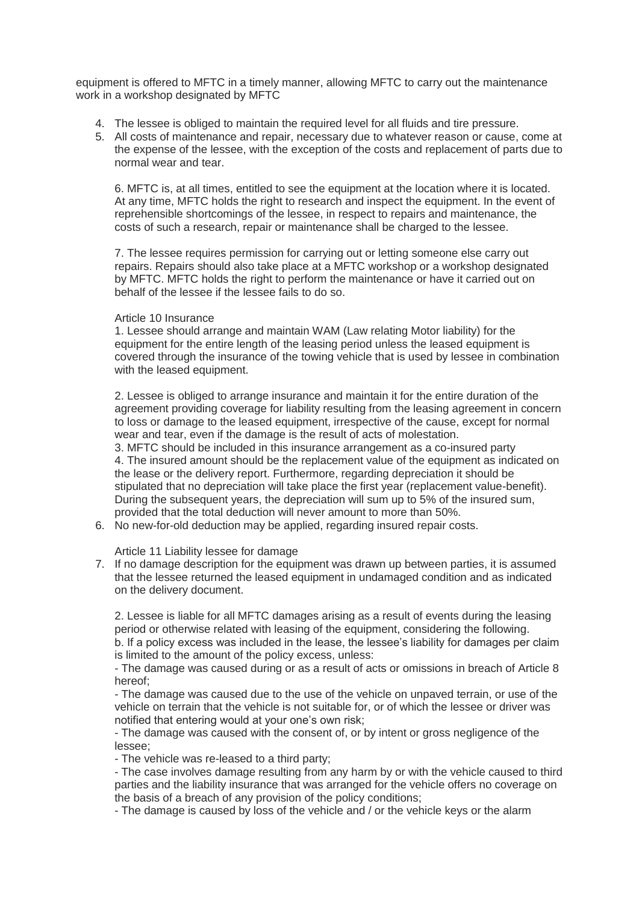equipment is offered to MFTC in a timely manner, allowing MFTC to carry out the maintenance work in a workshop designated by MFTC

- 4. The lessee is obliged to maintain the required level for all fluids and tire pressure.
- 5. All costs of maintenance and repair, necessary due to whatever reason or cause, come at the expense of the lessee, with the exception of the costs and replacement of parts due to normal wear and tear.

6. MFTC is, at all times, entitled to see the equipment at the location where it is located. At any time, MFTC holds the right to research and inspect the equipment. In the event of reprehensible shortcomings of the lessee, in respect to repairs and maintenance, the costs of such a research, repair or maintenance shall be charged to the lessee.

7. The lessee requires permission for carrying out or letting someone else carry out repairs. Repairs should also take place at a MFTC workshop or a workshop designated by MFTC. MFTC holds the right to perform the maintenance or have it carried out on behalf of the lessee if the lessee fails to do so.

## Article 10 Insurance

1. Lessee should arrange and maintain WAM (Law relating Motor liability) for the equipment for the entire length of the leasing period unless the leased equipment is covered through the insurance of the towing vehicle that is used by lessee in combination with the leased equipment.

2. Lessee is obliged to arrange insurance and maintain it for the entire duration of the agreement providing coverage for liability resulting from the leasing agreement in concern to loss or damage to the leased equipment, irrespective of the cause, except for normal wear and tear, even if the damage is the result of acts of molestation.

3. MFTC should be included in this insurance arrangement as a co-insured party 4. The insured amount should be the replacement value of the equipment as indicated on the lease or the delivery report. Furthermore, regarding depreciation it should be stipulated that no depreciation will take place the first year (replacement value-benefit). During the subsequent years, the depreciation will sum up to 5% of the insured sum, provided that the total deduction will never amount to more than 50%.

6. No new-for-old deduction may be applied, regarding insured repair costs.

Article 11 Liability lessee for damage

7. If no damage description for the equipment was drawn up between parties, it is assumed that the lessee returned the leased equipment in undamaged condition and as indicated on the delivery document.

2. Lessee is liable for all MFTC damages arising as a result of events during the leasing period or otherwise related with leasing of the equipment, considering the following. b. If a policy excess was included in the lease, the lessee's liability for damages per claim is limited to the amount of the policy excess, unless:

- The damage was caused during or as a result of acts or omissions in breach of Article 8 hereof;

- The damage was caused due to the use of the vehicle on unpaved terrain, or use of the vehicle on terrain that the vehicle is not suitable for, or of which the lessee or driver was notified that entering would at your one's own risk;

- The damage was caused with the consent of, or by intent or gross negligence of the lessee;

- The vehicle was re-leased to a third party;

- The case involves damage resulting from any harm by or with the vehicle caused to third parties and the liability insurance that was arranged for the vehicle offers no coverage on the basis of a breach of any provision of the policy conditions;

- The damage is caused by loss of the vehicle and / or the vehicle keys or the alarm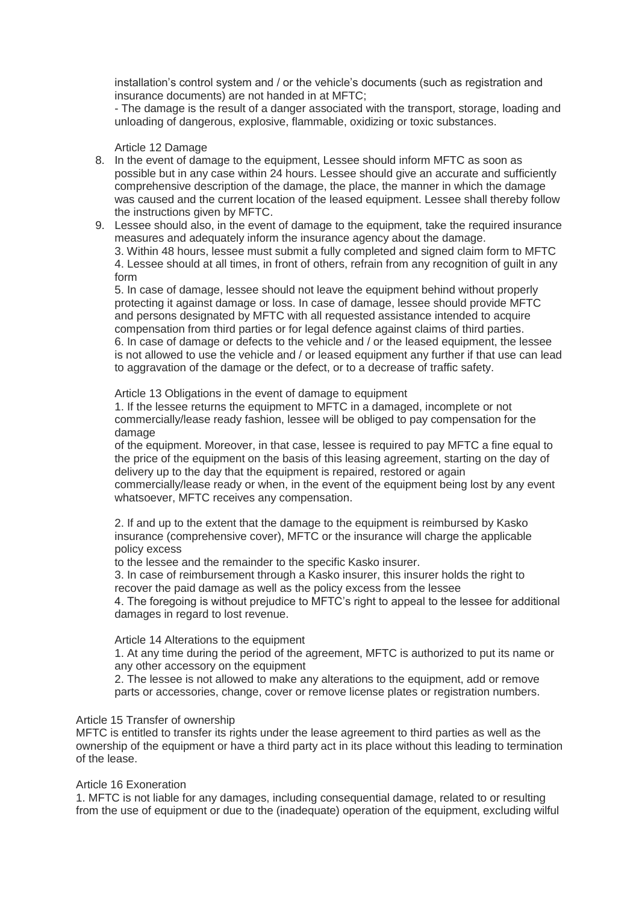installation's control system and / or the vehicle's documents (such as registration and insurance documents) are not handed in at MFTC;

- The damage is the result of a danger associated with the transport, storage, loading and unloading of dangerous, explosive, flammable, oxidizing or toxic substances.

Article 12 Damage

- 8. In the event of damage to the equipment, Lessee should inform MFTC as soon as possible but in any case within 24 hours. Lessee should give an accurate and sufficiently comprehensive description of the damage, the place, the manner in which the damage was caused and the current location of the leased equipment. Lessee shall thereby follow the instructions given by MFTC.
- 9. Lessee should also, in the event of damage to the equipment, take the required insurance measures and adequately inform the insurance agency about the damage. 3. Within 48 hours, lessee must submit a fully completed and signed claim form to MFTC 4. Lessee should at all times, in front of others, refrain from any recognition of guilt in any form

5. In case of damage, lessee should not leave the equipment behind without properly protecting it against damage or loss. In case of damage, lessee should provide MFTC and persons designated by MFTC with all requested assistance intended to acquire compensation from third parties or for legal defence against claims of third parties. 6. In case of damage or defects to the vehicle and / or the leased equipment, the lessee is not allowed to use the vehicle and / or leased equipment any further if that use can lead to aggravation of the damage or the defect, or to a decrease of traffic safety.

Article 13 Obligations in the event of damage to equipment

1. If the lessee returns the equipment to MFTC in a damaged, incomplete or not commercially/lease ready fashion, lessee will be obliged to pay compensation for the damage

of the equipment. Moreover, in that case, lessee is required to pay MFTC a fine equal to the price of the equipment on the basis of this leasing agreement, starting on the day of delivery up to the day that the equipment is repaired, restored or again

commercially/lease ready or when, in the event of the equipment being lost by any event whatsoever, MFTC receives any compensation.

2. If and up to the extent that the damage to the equipment is reimbursed by Kasko insurance (comprehensive cover), MFTC or the insurance will charge the applicable policy excess

to the lessee and the remainder to the specific Kasko insurer.

3. In case of reimbursement through a Kasko insurer, this insurer holds the right to recover the paid damage as well as the policy excess from the lessee

4. The foregoing is without prejudice to MFTC's right to appeal to the lessee for additional damages in regard to lost revenue.

Article 14 Alterations to the equipment

1. At any time during the period of the agreement, MFTC is authorized to put its name or any other accessory on the equipment

2. The lessee is not allowed to make any alterations to the equipment, add or remove parts or accessories, change, cover or remove license plates or registration numbers.

### Article 15 Transfer of ownership

MFTC is entitled to transfer its rights under the lease agreement to third parties as well as the ownership of the equipment or have a third party act in its place without this leading to termination of the lease.

### Article 16 Exoneration

1. MFTC is not liable for any damages, including consequential damage, related to or resulting from the use of equipment or due to the (inadequate) operation of the equipment, excluding wilful